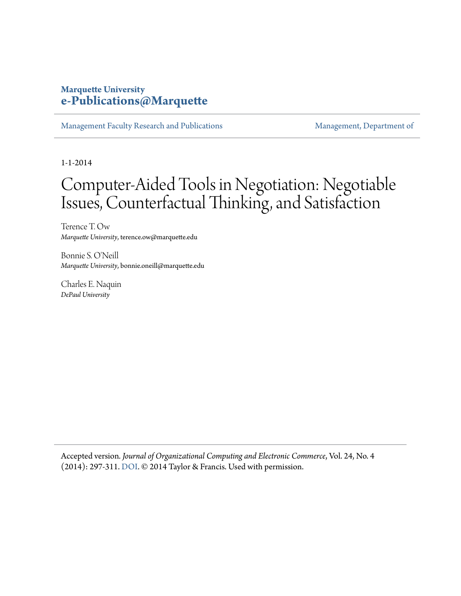#### **Marquette University [e-Publications@Marquette](https://epublications.marquette.edu)**

[Management Faculty Research and Publications](https://epublications.marquette.edu/mgmt_fac) [Management, Department of](https://epublications.marquette.edu/mgmt)

1-1-2014

## Computer-Aided Tools in Negotiation: Negotiable Issues, Counterfactual Thinking, and Satisfaction

Terence T. Ow *Marquette University*, terence.ow@marquette.edu

Bonnie S. O'Neill *Marquette University*, bonnie.oneill@marquette.edu

Charles E. Naquin *DePaul University*

Accepted version*. Journal of Organizational Computing and Electronic Commerce*, Vol. 24, No. 4 (2014): 297-311. [DOI.](http://dx.doi.org/10.1080/10919392.2014.956597) © 2014 Taylor & Francis. Used with permission.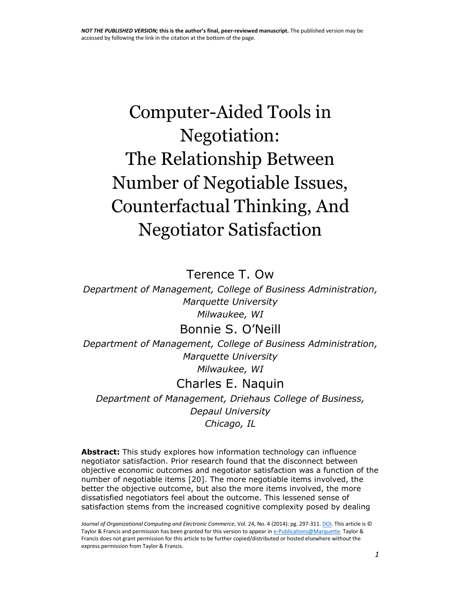# Computer-Aided Tools in Negotiation: The Relationship Between Number of Negotiable Issues, Counterfactual Thinking, And Negotiator Satisfaction

Terence T. Ow

*Department of Management, College of Business Administration, Marquette University Milwaukee, WI*

#### Bonnie S. O'Neill

*Department of Management, College of Business Administration, Marquette University Milwaukee, WI*

## Charles E. Naquin

*Department of Management, Driehaus College of Business, Depaul University Chicago, IL*

**Abstract:** This study explores how information technology can influence negotiator satisfaction. Prior research found that the disconnect between objective economic outcomes and negotiator satisfaction was a function of the number of negotiable items [20]. The more negotiable items involved, the better the objective outcome, but also the more items involved, the more dissatisfied negotiators feel about the outcome. This lessened sense of satisfaction stems from the increased cognitive complexity posed by dealing

*Journal of Organizational Computing and Electronic Commerce*, Vol. 24, No. 4 (2014): pg. 297-311[. DOI.](http://dx.doi.org/10.1080/10919392.2014.956597) This article is © Taylor & Francis and permission has been granted for this version to appear i[n e-Publications@Marquette.](http://epublications.marquette.edu/) Taylor & Francis does not grant permission for this article to be further copied/distributed or hosted elsewhere without the express permission from Taylor & Francis.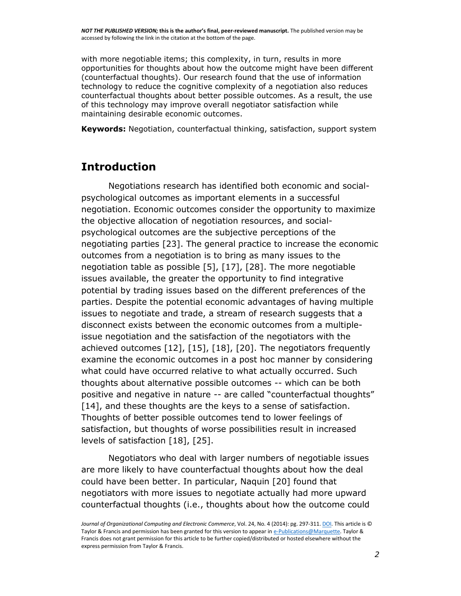with more negotiable items; this complexity, in turn, results in more opportunities for thoughts about how the outcome might have been different (counterfactual thoughts). Our research found that the use of information technology to reduce the cognitive complexity of a negotiation also reduces counterfactual thoughts about better possible outcomes. As a result, the use of this technology may improve overall negotiator satisfaction while maintaining desirable economic outcomes.

**Keywords:** Negotiation, counterfactual thinking, satisfaction, support system

#### **Introduction**

Negotiations research has identified both economic and socialpsychological outcomes as important elements in a successful negotiation. Economic outcomes consider the opportunity to maximize the objective allocation of negotiation resources, and socialpsychological outcomes are the subjective perceptions of the negotiating parties [23]. The general practice to increase the economic outcomes from a negotiation is to bring as many issues to the negotiation table as possible [5], [17], [28]. The more negotiable issues available, the greater the opportunity to find integrative potential by trading issues based on the different preferences of the parties. Despite the potential economic advantages of having multiple issues to negotiate and trade, a stream of research suggests that a disconnect exists between the economic outcomes from a multipleissue negotiation and the satisfaction of the negotiators with the achieved outcomes [12], [15], [18], [20]. The negotiators frequently examine the economic outcomes in a post hoc manner by considering what could have occurred relative to what actually occurred. Such thoughts about alternative possible outcomes -- which can be both positive and negative in nature -- are called "counterfactual thoughts" [14], and these thoughts are the keys to a sense of satisfaction. Thoughts of better possible outcomes tend to lower feelings of satisfaction, but thoughts of worse possibilities result in increased levels of satisfaction [18], [25].

Negotiators who deal with larger numbers of negotiable issues are more likely to have counterfactual thoughts about how the deal could have been better. In particular, Naquin [20] found that negotiators with more issues to negotiate actually had more upward counterfactual thoughts (i.e., thoughts about how the outcome could

*Journal of Organizational Computing and Electronic Commerce*, Vol. 24, No. 4 (2014): pg. 297-311. *DOI*. This article is © Taylor & Francis and permission has been granted for this version to appear i[n e-Publications@Marquette.](http://epublications.marquette.edu/) Taylor & Francis does not grant permission for this article to be further copied/distributed or hosted elsewhere without the express permission from Taylor & Francis.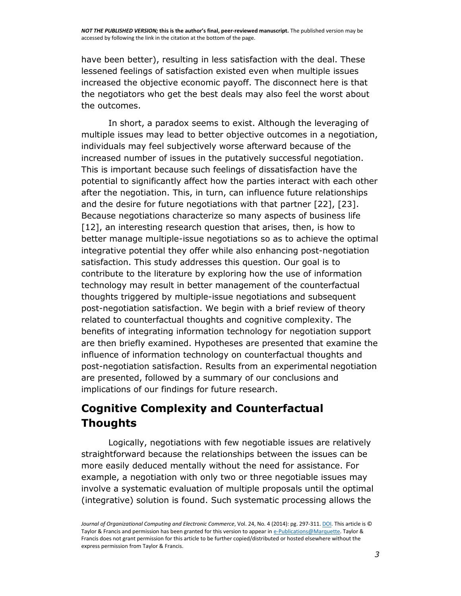have been better), resulting in less satisfaction with the deal. These lessened feelings of satisfaction existed even when multiple issues increased the objective economic payoff. The disconnect here is that the negotiators who get the best deals may also feel the worst about the outcomes.

In short, a paradox seems to exist. Although the leveraging of multiple issues may lead to better objective outcomes in a negotiation, individuals may feel subjectively worse afterward because of the increased number of issues in the putatively successful negotiation. This is important because such feelings of dissatisfaction have the potential to significantly affect how the parties interact with each other after the negotiation. This, in turn, can influence future relationships and the desire for future negotiations with that partner [22], [23]. Because negotiations characterize so many aspects of business life [12], an interesting research question that arises, then, is how to better manage multiple-issue negotiations so as to achieve the optimal integrative potential they offer while also enhancing post-negotiation satisfaction. This study addresses this question. Our goal is to contribute to the literature by exploring how the use of information technology may result in better management of the counterfactual thoughts triggered by multiple-issue negotiations and subsequent post-negotiation satisfaction. We begin with a brief review of theory related to counterfactual thoughts and cognitive complexity. The benefits of integrating information technology for negotiation support are then briefly examined. Hypotheses are presented that examine the influence of information technology on counterfactual thoughts and post-negotiation satisfaction. Results from an experimental negotiation are presented, followed by a summary of our conclusions and implications of our findings for future research.

## **Cognitive Complexity and Counterfactual Thoughts**

Logically, negotiations with few negotiable issues are relatively straightforward because the relationships between the issues can be more easily deduced mentally without the need for assistance. For example, a negotiation with only two or three negotiable issues may involve a systematic evaluation of multiple proposals until the optimal (integrative) solution is found. Such systematic processing allows the

*Journal of Organizational Computing and Electronic Commerce*, Vol. 24, No. 4 (2014): pg. 297-311. *DOI*. This article is © Taylor & Francis and permission has been granted for this version to appear i[n e-Publications@Marquette.](http://epublications.marquette.edu/) Taylor & Francis does not grant permission for this article to be further copied/distributed or hosted elsewhere without the express permission from Taylor & Francis.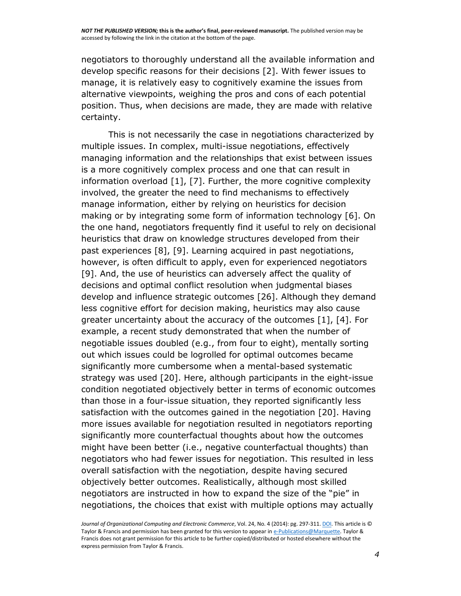negotiators to thoroughly understand all the available information and develop specific reasons for their decisions [2]. With fewer issues to manage, it is relatively easy to cognitively examine the issues from alternative viewpoints, weighing the pros and cons of each potential position. Thus, when decisions are made, they are made with relative certainty.

This is not necessarily the case in negotiations characterized by multiple issues. In complex, multi-issue negotiations, effectively managing information and the relationships that exist between issues is a more cognitively complex process and one that can result in information overload [1], [7]. Further, the more cognitive complexity involved, the greater the need to find mechanisms to effectively manage information, either by relying on heuristics for decision making or by integrating some form of information technology [6]. On the one hand, negotiators frequently find it useful to rely on decisional heuristics that draw on knowledge structures developed from their past experiences [8], [9]. Learning acquired in past negotiations, however, is often difficult to apply, even for experienced negotiators [9]. And, the use of heuristics can adversely affect the quality of decisions and optimal conflict resolution when judgmental biases develop and influence strategic outcomes [26]. Although they demand less cognitive effort for decision making, heuristics may also cause greater uncertainty about the accuracy of the outcomes [1], [4]. For example, a recent study demonstrated that when the number of negotiable issues doubled (e.g., from four to eight), mentally sorting out which issues could be logrolled for optimal outcomes became significantly more cumbersome when a mental-based systematic strategy was used [20]. Here, although participants in the eight-issue condition negotiated objectively better in terms of economic outcomes than those in a four-issue situation, they reported significantly less satisfaction with the outcomes gained in the negotiation [20]. Having more issues available for negotiation resulted in negotiators reporting significantly more counterfactual thoughts about how the outcomes might have been better (i.e., negative counterfactual thoughts) than negotiators who had fewer issues for negotiation. This resulted in less overall satisfaction with the negotiation, despite having secured objectively better outcomes. Realistically, although most skilled negotiators are instructed in how to expand the size of the "pie" in negotiations, the choices that exist with multiple options may actually

Journal of Organizational Computing and Electronic Commerce, Vol. 24, No. 4 (2014): pg. 297-311[. DOI.](http://dx.doi.org/10.1080/10919392.2014.956597) This article is © Taylor & Francis and permission has been granted for this version to appear i[n e-Publications@Marquette.](http://epublications.marquette.edu/) Taylor & Francis does not grant permission for this article to be further copied/distributed or hosted elsewhere without the express permission from Taylor & Francis.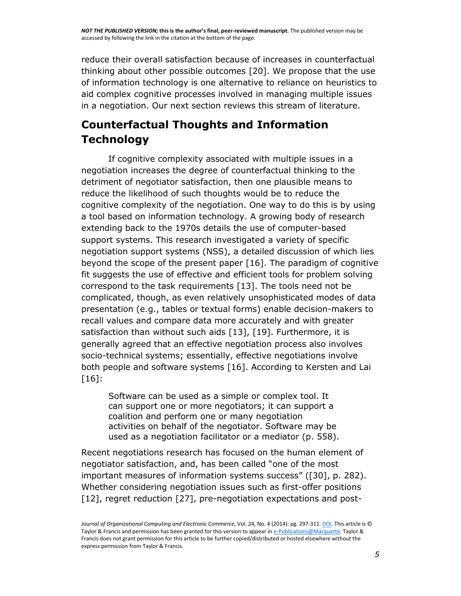reduce their overall satisfaction because of increases in counterfactual thinking about other possible outcomes [20]. We propose that the use of information technology is one alternative to reliance on heuristics to aid complex cognitive processes involved in managing multiple issues in a negotiation. Our next section reviews this stream of literature.

## **Counterfactual Thoughts and Information Technology**

If cognitive complexity associated with multiple issues in a negotiation increases the degree of counterfactual thinking to the detriment of negotiator satisfaction, then one plausible means to reduce the likelihood of such thoughts would be to reduce the cognitive complexity of the negotiation. One way to do this is by using a tool based on information technology. A growing body of research extending back to the 1970s details the use of computer-based support systems. This research investigated a variety of specific negotiation support systems (NSS), a detailed discussion of which lies beyond the scope of the present paper [16]. The paradigm of cognitive fit suggests the use of effective and efficient tools for problem solving correspond to the task requirements [13]. The tools need not be complicated, though, as even relatively unsophisticated modes of data presentation (e.g., tables or textual forms) enable decision-makers to recall values and compare data more accurately and with greater satisfaction than without such aids [13], [19]. Furthermore, it is generally agreed that an effective negotiation process also involves socio-technical systems; essentially, effective negotiations involve both people and software systems [16]. According to Kersten and Lai [16]:

Software can be used as a simple or complex tool. It can support one or more negotiators; it can support a coalition and perform one or many negotiation activities on behalf of the negotiator. Software may be used as a negotiation facilitator or a mediator (p. 558).

Recent negotiations research has focused on the human element of negotiator satisfaction, and, has been called "one of the most important measures of information systems success" ([30], p. 282). Whether considering negotiation issues such as first-offer positions [12], regret reduction [27], pre-negotiation expectations and post-

Journal of Organizational Computing and Electronic Commerce, Vol. 24, No. 4 (2014): pg. 297-311. **DOI**. This article is © Taylor & Francis and permission has been granted for this version to appear i[n e-Publications@Marquette.](http://epublications.marquette.edu/) Taylor & Francis does not grant permission for this article to be further copied/distributed or hosted elsewhere without the express permission from Taylor & Francis.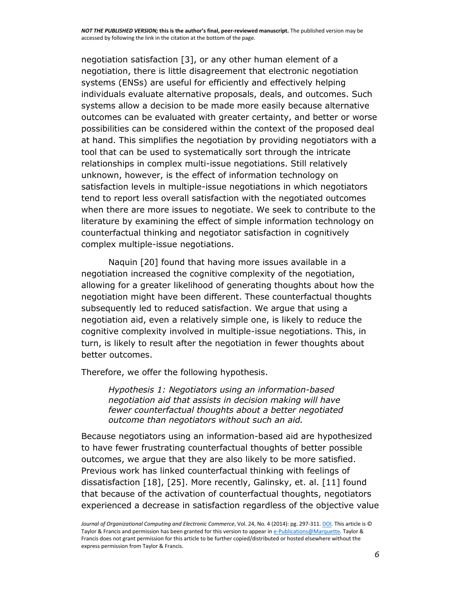negotiation satisfaction [3], or any other human element of a negotiation, there is little disagreement that electronic negotiation systems (ENSs) are useful for efficiently and effectively helping individuals evaluate alternative proposals, deals, and outcomes. Such systems allow a decision to be made more easily because alternative outcomes can be evaluated with greater certainty, and better or worse possibilities can be considered within the context of the proposed deal at hand. This simplifies the negotiation by providing negotiators with a tool that can be used to systematically sort through the intricate relationships in complex multi-issue negotiations. Still relatively unknown, however, is the effect of information technology on satisfaction levels in multiple-issue negotiations in which negotiators tend to report less overall satisfaction with the negotiated outcomes when there are more issues to negotiate. We seek to contribute to the literature by examining the effect of simple information technology on counterfactual thinking and negotiator satisfaction in cognitively complex multiple-issue negotiations.

Naquin [20] found that having more issues available in a negotiation increased the cognitive complexity of the negotiation, allowing for a greater likelihood of generating thoughts about how the negotiation might have been different. These counterfactual thoughts subsequently led to reduced satisfaction. We argue that using a negotiation aid, even a relatively simple one, is likely to reduce the cognitive complexity involved in multiple-issue negotiations. This, in turn, is likely to result after the negotiation in fewer thoughts about better outcomes.

Therefore, we offer the following hypothesis.

*Hypothesis 1: Negotiators using an information-based negotiation aid that assists in decision making will have fewer counterfactual thoughts about a better negotiated outcome than negotiators without such an aid.*

Because negotiators using an information-based aid are hypothesized to have fewer frustrating counterfactual thoughts of better possible outcomes, we argue that they are also likely to be more satisfied. Previous work has linked counterfactual thinking with feelings of dissatisfaction [18], [25]. More recently, Galinsky, et. al. [11] found that because of the activation of counterfactual thoughts, negotiators experienced a decrease in satisfaction regardless of the objective value

Journal of Organizational Computing and Electronic Commerce, Vol. 24, No. 4 (2014): pg. 297-311. **DOI**. This article is © Taylor & Francis and permission has been granted for this version to appear i[n e-Publications@Marquette.](http://epublications.marquette.edu/) Taylor & Francis does not grant permission for this article to be further copied/distributed or hosted elsewhere without the express permission from Taylor & Francis.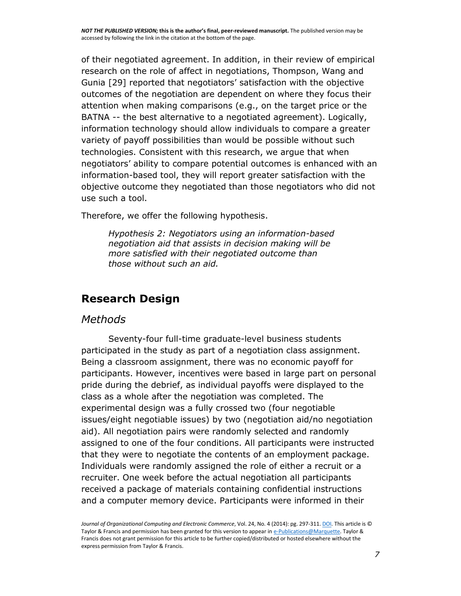of their negotiated agreement. In addition, in their review of empirical research on the role of affect in negotiations, Thompson, Wang and Gunia [29] reported that negotiators' satisfaction with the objective outcomes of the negotiation are dependent on where they focus their attention when making comparisons (e.g., on the target price or the BATNA -- the best alternative to a negotiated agreement). Logically, information technology should allow individuals to compare a greater variety of payoff possibilities than would be possible without such technologies. Consistent with this research, we argue that when negotiators' ability to compare potential outcomes is enhanced with an information-based tool, they will report greater satisfaction with the objective outcome they negotiated than those negotiators who did not use such a tool.

Therefore, we offer the following hypothesis.

*Hypothesis 2: Negotiators using an information-based negotiation aid that assists in decision making will be more satisfied with their negotiated outcome than those without such an aid.*

#### **Research Design**

#### *Methods*

Seventy-four full-time graduate-level business students participated in the study as part of a negotiation class assignment. Being a classroom assignment, there was no economic payoff for participants. However, incentives were based in large part on personal pride during the debrief, as individual payoffs were displayed to the class as a whole after the negotiation was completed. The experimental design was a fully crossed two (four negotiable issues/eight negotiable issues) by two (negotiation aid/no negotiation aid). All negotiation pairs were randomly selected and randomly assigned to one of the four conditions. All participants were instructed that they were to negotiate the contents of an employment package. Individuals were randomly assigned the role of either a recruit or a recruiter. One week before the actual negotiation all participants received a package of materials containing confidential instructions and a computer memory device. Participants were informed in their

*Journal of Organizational Computing and Electronic Commerce*, Vol. 24, No. 4 (2014): pg. 297-311. *DOI*. This article is © Taylor & Francis and permission has been granted for this version to appear i[n e-Publications@Marquette.](http://epublications.marquette.edu/) Taylor & Francis does not grant permission for this article to be further copied/distributed or hosted elsewhere without the express permission from Taylor & Francis.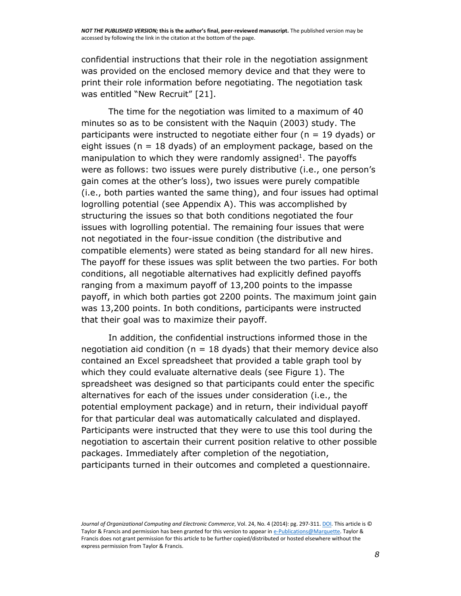confidential instructions that their role in the negotiation assignment was provided on the enclosed memory device and that they were to print their role information before negotiating. The negotiation task was entitled "New Recruit" [21].

The time for the negotiation was limited to a maximum of 40 minutes so as to be consistent with the Naquin (2003) study. The participants were instructed to negotiate either four (n = 19 dyads) or eight issues ( $n = 18$  dyads) of an employment package, based on the manipulation to which they were randomly assigned<sup>1</sup>. The payoffs were as follows: two issues were purely distributive (i.e., one person's gain comes at the other's loss), two issues were purely compatible (i.e., both parties wanted the same thing), and four issues had optimal logrolling potential (see Appendix A). This was accomplished by structuring the issues so that both conditions negotiated the four issues with logrolling potential. The remaining four issues that were not negotiated in the four-issue condition (the distributive and compatible elements) were stated as being standard for all new hires. The payoff for these issues was split between the two parties. For both conditions, all negotiable alternatives had explicitly defined payoffs ranging from a maximum payoff of 13,200 points to the impasse payoff, in which both parties got 2200 points. The maximum joint gain was 13,200 points. In both conditions, participants were instructed that their goal was to maximize their payoff.

In addition, the confidential instructions informed those in the negotiation aid condition ( $n = 18$  dyads) that their memory device also contained an Excel spreadsheet that provided a table graph tool by which they could evaluate alternative deals (see Figure 1). The spreadsheet was designed so that participants could enter the specific alternatives for each of the issues under consideration (i.e., the potential employment package) and in return, their individual payoff for that particular deal was automatically calculated and displayed. Participants were instructed that they were to use this tool during the negotiation to ascertain their current position relative to other possible packages. Immediately after completion of the negotiation, participants turned in their outcomes and completed a questionnaire.

*Journal of Organizational Computing and Electronic Commerce*, Vol. 24, No. 4 (2014): pg. 297-311. *DOI*. This article is © Taylor & Francis and permission has been granted for this version to appear i[n e-Publications@Marquette.](http://epublications.marquette.edu/) Taylor & Francis does not grant permission for this article to be further copied/distributed or hosted elsewhere without the express permission from Taylor & Francis.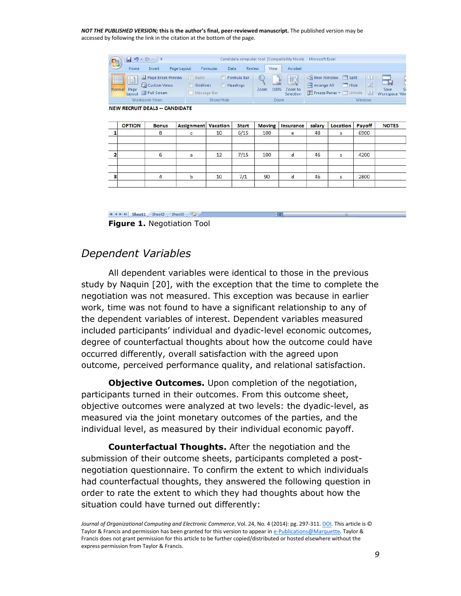| $\mathbf{e}_3$ | $17 - 11 -$<br>э                                                            |                                                                | Candidate computer tool [Compatibility Mode] - Microsoft Excel |                                                                                                                      |  |  |  |  |
|----------------|-----------------------------------------------------------------------------|----------------------------------------------------------------|----------------------------------------------------------------|----------------------------------------------------------------------------------------------------------------------|--|--|--|--|
|                | Page Layout<br>Insert<br>Home                                               | Review<br>Data<br>Formulas                                     | the art of the country of the country<br>View                  | Acrobat                                                                                                              |  |  |  |  |
| H<br>Normal    | Page Break Preview<br><b>TEI</b> Custom Views<br>Page<br>Layout Full Screen | V Rufer<br>Formula Bar<br>Headings<br>Gridlines<br>Message Bar | R<br>G<br>$-100$<br>Zoom to<br>100%<br>Zoom<br>Selection       | New Window<br>split<br>m<br>_<br>$-5$<br>mÌ<br>Arrange All<br>Hide<br>Save<br>Freeze Panes * Unhide<br>Workspace Win |  |  |  |  |
|                | Workbook Views                                                              | Show/Hide                                                      | Zoom                                                           | Window                                                                                                               |  |  |  |  |

**NEW RECRUIT DEALS -- CANDIDATE** 

|   | <b>OPTION</b> | <b>Bonus</b> | <b>Assignment Vacation</b> |    | <b>Start</b> | <b>Moving</b> | Insurance | salary | Location | Payoff | <b>NOTES</b> |
|---|---------------|--------------|----------------------------|----|--------------|---------------|-----------|--------|----------|--------|--------------|
|   |               | 8            |                            | 10 | 6/15         | 100           | e         | 48     |          | 6900   |              |
|   |               | b            | $\mathsf{a}$               | 12 | 7/15         | 100           | d         | 46     | ς        | 4200   |              |
| 3 |               | 4            | b                          | 10 | 7/1          | 90            | d         | 46     | s        | 2800   |              |

H + > H Sheet1 Sheet2 Sheet3 (2)

**Figure 1.** Negotiation Tool

#### *Dependent Variables*

All dependent variables were identical to those in the previous study by Naquin [20], with the exception that the time to complete the negotiation was not measured. This exception was because in earlier work, time was not found to have a significant relationship to any of the dependent variables of interest. Dependent variables measured included participants' individual and dyadic-level economic outcomes, degree of counterfactual thoughts about how the outcome could have occurred differently, overall satisfaction with the agreed upon outcome, perceived performance quality, and relational satisfaction.

**Objective Outcomes.** Upon completion of the negotiation, participants turned in their outcomes. From this outcome sheet, objective outcomes were analyzed at two levels: the dyadic-level, as measured via the joint monetary outcomes of the parties, and the individual level, as measured by their individual economic payoff.

**Counterfactual Thoughts.** After the negotiation and the submission of their outcome sheets, participants completed a postnegotiation questionnaire. To confirm the extent to which individuals had counterfactual thoughts, they answered the following question in order to rate the extent to which they had thoughts about how the situation could have turned out differently:

*Journal of Organizational Computing and Electronic Commerce*, Vol. 24, No. 4 (2014): pg. 297-311. *DOI*. This article is © Taylor & Francis and permission has been granted for this version to appear i[n e-Publications@Marquette.](http://epublications.marquette.edu/) Taylor & Francis does not grant permission for this article to be further copied/distributed or hosted elsewhere without the express permission from Taylor & Francis.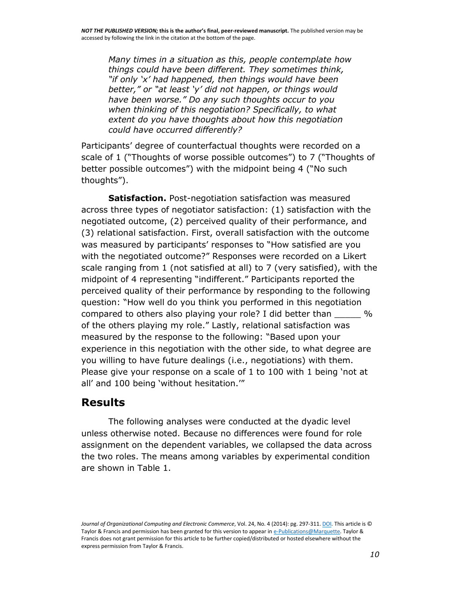*Many times in a situation as this, people contemplate how things could have been different. They sometimes think, "if only 'x' had happened, then things would have been better," or "at least 'y' did not happen, or things would have been worse." Do any such thoughts occur to you when thinking of this negotiation? Specifically, to what extent do you have thoughts about how this negotiation could have occurred differently?*

Participants' degree of counterfactual thoughts were recorded on a scale of 1 ("Thoughts of worse possible outcomes") to 7 ("Thoughts of better possible outcomes") with the midpoint being 4 ("No such thoughts").

**Satisfaction.** Post-negotiation satisfaction was measured across three types of negotiator satisfaction: (1) satisfaction with the negotiated outcome, (2) perceived quality of their performance, and (3) relational satisfaction. First, overall satisfaction with the outcome was measured by participants' responses to "How satisfied are you with the negotiated outcome?" Responses were recorded on a Likert scale ranging from 1 (not satisfied at all) to 7 (very satisfied), with the midpoint of 4 representing "indifferent." Participants reported the perceived quality of their performance by responding to the following question: "How well do you think you performed in this negotiation compared to others also playing your role? I did better than \_\_\_\_\_ % of the others playing my role." Lastly, relational satisfaction was measured by the response to the following: "Based upon your experience in this negotiation with the other side, to what degree are you willing to have future dealings (i.e., negotiations) with them. Please give your response on a scale of 1 to 100 with 1 being 'not at all' and 100 being 'without hesitation.'"

#### **Results**

The following analyses were conducted at the dyadic level unless otherwise noted. Because no differences were found for role assignment on the dependent variables, we collapsed the data across the two roles. The means among variables by experimental condition are shown in Table 1.

*Journal of Organizational Computing and Electronic Commerce*, Vol. 24, No. 4 (2014): pg. 297-311. *DOI*. This article is © Taylor & Francis and permission has been granted for this version to appear i[n e-Publications@Marquette.](http://epublications.marquette.edu/) Taylor & Francis does not grant permission for this article to be further copied/distributed or hosted elsewhere without the express permission from Taylor & Francis.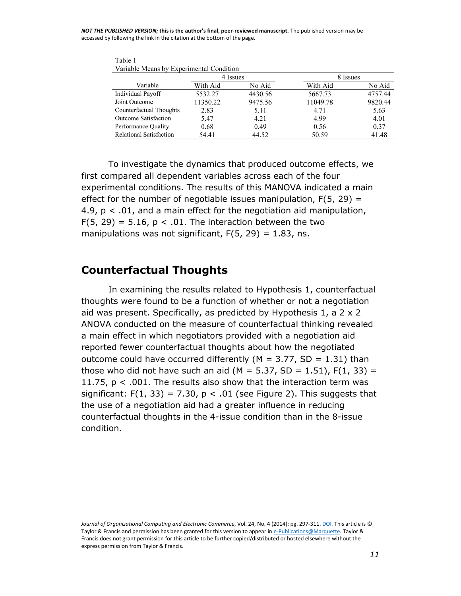| Variable Means by Experimental Condition |          |         |          |         |  |  |  |
|------------------------------------------|----------|---------|----------|---------|--|--|--|
|                                          | 4 Issues |         | 8 Issues |         |  |  |  |
| Variable                                 | With Aid | No Aid  | With Aid | No Aid  |  |  |  |
| <b>Individual Payoff</b>                 | 5532.27  | 4430.56 | 5667.73  | 4757.44 |  |  |  |
| Joint Outcome                            | 11350.22 | 9475.56 | 11049.78 | 9820.44 |  |  |  |
| Counterfactual Thoughts                  | 2.83     | 5.11    | 4.71     | 5.63    |  |  |  |
| <b>Outcome Satisfaction</b>              | 5.47     | 4.21    | 4.99     | 4.01    |  |  |  |
| Performance Quality                      | 0.68     | 0.49    | 0.56     | 0.37    |  |  |  |
| <b>Relational Satisfaction</b>           | 54.41    | 44.52   | 50.59    | 41.48   |  |  |  |

Table 1 ic 1<br>iable Means by Experimental Conditio

To investigate the dynamics that produced outcome effects, we first compared all dependent variables across each of the four experimental conditions. The results of this MANOVA indicated a main effect for the number of negotiable issues manipulation,  $F(5, 29) =$ 4.9, p < .01, and a main effect for the negotiation aid manipulation, F(5, 29) = 5.16,  $p < .01$ . The interaction between the two manipulations was not significant,  $F(5, 29) = 1.83$ , ns.

#### **Counterfactual Thoughts**

In examining the results related to Hypothesis 1, counterfactual thoughts were found to be a function of whether or not a negotiation aid was present. Specifically, as predicted by Hypothesis 1, a 2 x 2 ANOVA conducted on the measure of counterfactual thinking revealed a main effect in which negotiators provided with a negotiation aid reported fewer counterfactual thoughts about how the negotiated outcome could have occurred differently ( $M = 3.77$ , SD = 1.31) than those who did not have such an aid ( $M = 5.37$ , SD = 1.51), F(1, 33) = 11.75,  $p < .001$ . The results also show that the interaction term was significant:  $F(1, 33) = 7.30$ ,  $p < .01$  (see Figure 2). This suggests that the use of a negotiation aid had a greater influence in reducing counterfactual thoughts in the 4-issue condition than in the 8-issue condition.

*Journal of Organizational Computing and Electronic Commerce*, Vol. 24, No. 4 (2014): pg. 297-311[. DOI.](http://dx.doi.org/10.1080/10919392.2014.956597) This article is © Taylor & Francis and permission has been granted for this version to appear i[n e-Publications@Marquette.](http://epublications.marquette.edu/) Taylor & Francis does not grant permission for this article to be further copied/distributed or hosted elsewhere without the express permission from Taylor & Francis.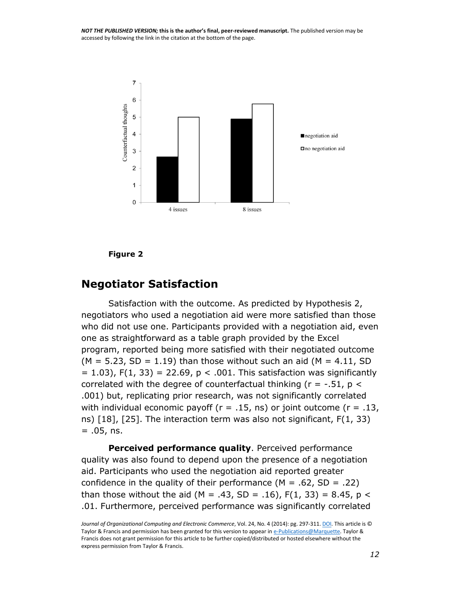

#### **Figure 2**

#### **Negotiator Satisfaction**

Satisfaction with the outcome. As predicted by Hypothesis 2, negotiators who used a negotiation aid were more satisfied than those who did not use one. Participants provided with a negotiation aid, even one as straightforward as a table graph provided by the Excel program, reported being more satisfied with their negotiated outcome  $(M = 5.23, SD = 1.19)$  than those without such an aid  $(M = 4.11, SD)$  $= 1.03$ ), F(1, 33) = 22.69, p < .001. This satisfaction was significantly correlated with the degree of counterfactual thinking ( $r = -0.51$ ,  $p <$ .001) but, replicating prior research, was not significantly correlated with individual economic payoff ( $r = .15$ , ns) or joint outcome ( $r = .13$ , ns) [18], [25]. The interaction term was also not significant, F(1, 33)  $= .05$ , ns.

**Perceived performance quality**. Perceived performance quality was also found to depend upon the presence of a negotiation aid. Participants who used the negotiation aid reported greater confidence in the quality of their performance ( $M = .62$ , SD = .22) than those without the aid (M = .43, SD = .16),  $F(1, 33) = 8.45$ , p < .01. Furthermore, perceived performance was significantly correlated

*Journal of Organizational Computing and Electronic Commerce*, Vol. 24, No. 4 (2014): pg. 297-311[. DOI.](http://dx.doi.org/10.1080/10919392.2014.956597) This article is © Taylor & Francis and permission has been granted for this version to appear i[n e-Publications@Marquette.](http://epublications.marquette.edu/) Taylor & Francis does not grant permission for this article to be further copied/distributed or hosted elsewhere without the express permission from Taylor & Francis.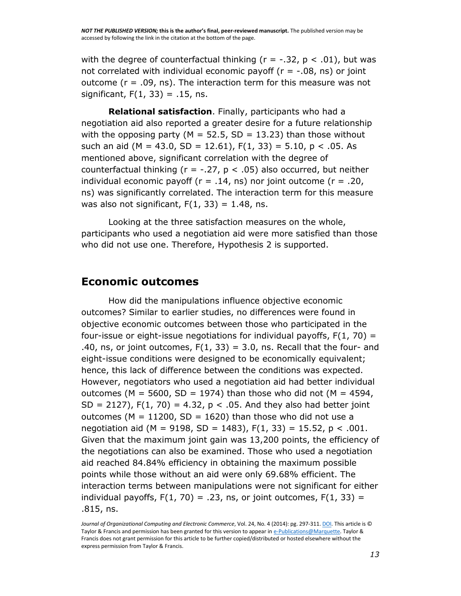with the degree of counterfactual thinking ( $r = -0.32$ ,  $p < 0.01$ ), but was not correlated with individual economic payoff ( $r = -0.08$ , ns) or joint outcome ( $r = .09$ , ns). The interaction term for this measure was not significant,  $F(1, 33) = .15$ , ns.

**Relational satisfaction**. Finally, participants who had a negotiation aid also reported a greater desire for a future relationship with the opposing party ( $M = 52.5$ , SD = 13.23) than those without such an aid (M = 43.0, SD = 12.61),  $F(1, 33) = 5.10$ ,  $p < .05$ . As mentioned above, significant correlation with the degree of counterfactual thinking ( $r = -.27$ ,  $p < .05$ ) also occurred, but neither individual economic payoff ( $r = .14$ , ns) nor joint outcome ( $r = .20$ , ns) was significantly correlated. The interaction term for this measure was also not significant,  $F(1, 33) = 1.48$ , ns.

Looking at the three satisfaction measures on the whole, participants who used a negotiation aid were more satisfied than those who did not use one. Therefore, Hypothesis 2 is supported.

#### **Economic outcomes**

How did the manipulations influence objective economic outcomes? Similar to earlier studies, no differences were found in objective economic outcomes between those who participated in the four-issue or eight-issue negotiations for individual payoffs,  $F(1, 70) =$ .40, ns, or joint outcomes,  $F(1, 33) = 3.0$ , ns. Recall that the four- and eight-issue conditions were designed to be economically equivalent; hence, this lack of difference between the conditions was expected. However, negotiators who used a negotiation aid had better individual outcomes (M = 5600, SD = 1974) than those who did not (M = 4594, SD = 2127),  $F(1, 70) = 4.32$ ,  $p < .05$ . And they also had better joint outcomes ( $M = 11200$ ,  $SD = 1620$ ) than those who did not use a negotiation aid (M = 9198, SD = 1483),  $F(1, 33) = 15.52$ , p < .001. Given that the maximum joint gain was 13,200 points, the efficiency of the negotiations can also be examined. Those who used a negotiation aid reached 84.84% efficiency in obtaining the maximum possible points while those without an aid were only 69.68% efficient. The interaction terms between manipulations were not significant for either individual payoffs,  $F(1, 70) = .23$ , ns, or joint outcomes,  $F(1, 33) =$ .815, ns.

Journal of Organizational Computing and Electronic Commerce, Vol. 24, No. 4 (2014): pg. 297-311. **DOI**. This article is © Taylor & Francis and permission has been granted for this version to appear i[n e-Publications@Marquette.](http://epublications.marquette.edu/) Taylor & Francis does not grant permission for this article to be further copied/distributed or hosted elsewhere without the express permission from Taylor & Francis.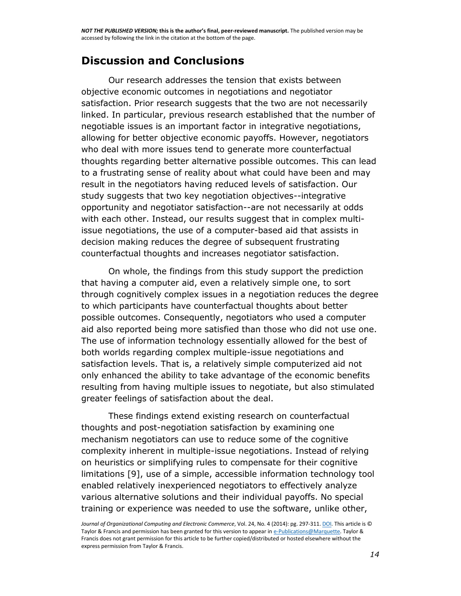### **Discussion and Conclusions**

Our research addresses the tension that exists between objective economic outcomes in negotiations and negotiator satisfaction. Prior research suggests that the two are not necessarily linked. In particular, previous research established that the number of negotiable issues is an important factor in integrative negotiations, allowing for better objective economic payoffs. However, negotiators who deal with more issues tend to generate more counterfactual thoughts regarding better alternative possible outcomes. This can lead to a frustrating sense of reality about what could have been and may result in the negotiators having reduced levels of satisfaction. Our study suggests that two key negotiation objectives--integrative opportunity and negotiator satisfaction--are not necessarily at odds with each other. Instead, our results suggest that in complex multiissue negotiations, the use of a computer-based aid that assists in decision making reduces the degree of subsequent frustrating counterfactual thoughts and increases negotiator satisfaction.

On whole, the findings from this study support the prediction that having a computer aid, even a relatively simple one, to sort through cognitively complex issues in a negotiation reduces the degree to which participants have counterfactual thoughts about better possible outcomes. Consequently, negotiators who used a computer aid also reported being more satisfied than those who did not use one. The use of information technology essentially allowed for the best of both worlds regarding complex multiple-issue negotiations and satisfaction levels. That is, a relatively simple computerized aid not only enhanced the ability to take advantage of the economic benefits resulting from having multiple issues to negotiate, but also stimulated greater feelings of satisfaction about the deal.

These findings extend existing research on counterfactual thoughts and post-negotiation satisfaction by examining one mechanism negotiators can use to reduce some of the cognitive complexity inherent in multiple-issue negotiations. Instead of relying on heuristics or simplifying rules to compensate for their cognitive limitations [9], use of a simple, accessible information technology tool enabled relatively inexperienced negotiators to effectively analyze various alternative solutions and their individual payoffs. No special training or experience was needed to use the software, unlike other,

Journal of Organizational Computing and Electronic Commerce, Vol. 24, No. 4 (2014): pg. 297-311. **DOI**. This article is © Taylor & Francis and permission has been granted for this version to appear i[n e-Publications@Marquette.](http://epublications.marquette.edu/) Taylor & Francis does not grant permission for this article to be further copied/distributed or hosted elsewhere without the express permission from Taylor & Francis.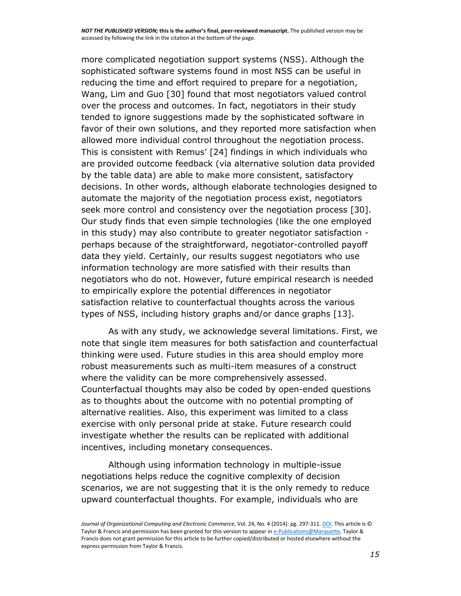more complicated negotiation support systems (NSS). Although the sophisticated software systems found in most NSS can be useful in reducing the time and effort required to prepare for a negotiation, Wang, Lim and Guo [30] found that most negotiators valued control over the process and outcomes. In fact, negotiators in their study tended to ignore suggestions made by the sophisticated software in favor of their own solutions, and they reported more satisfaction when allowed more individual control throughout the negotiation process. This is consistent with Remus' [24] findings in which individuals who are provided outcome feedback (via alternative solution data provided by the table data) are able to make more consistent, satisfactory decisions. In other words, although elaborate technologies designed to automate the majority of the negotiation process exist, negotiators seek more control and consistency over the negotiation process [30]. Our study finds that even simple technologies (like the one employed in this study) may also contribute to greater negotiator satisfaction perhaps because of the straightforward, negotiator-controlled payoff data they yield. Certainly, our results suggest negotiators who use information technology are more satisfied with their results than negotiators who do not. However, future empirical research is needed to empirically explore the potential differences in negotiator satisfaction relative to counterfactual thoughts across the various types of NSS, including history graphs and/or dance graphs [13].

As with any study, we acknowledge several limitations. First, we note that single item measures for both satisfaction and counterfactual thinking were used. Future studies in this area should employ more robust measurements such as multi-item measures of a construct where the validity can be more comprehensively assessed. Counterfactual thoughts may also be coded by open-ended questions as to thoughts about the outcome with no potential prompting of alternative realities. Also, this experiment was limited to a class exercise with only personal pride at stake. Future research could investigate whether the results can be replicated with additional incentives, including monetary consequences.

Although using information technology in multiple-issue negotiations helps reduce the cognitive complexity of decision scenarios, we are not suggesting that it is the only remedy to reduce upward counterfactual thoughts. For example, individuals who are

*Journal of Organizational Computing and Electronic Commerce*, Vol. 24, No. 4 (2014): pg. 297-311. *DOI*. This article is © Taylor & Francis and permission has been granted for this version to appear i[n e-Publications@Marquette.](http://epublications.marquette.edu/) Taylor & Francis does not grant permission for this article to be further copied/distributed or hosted elsewhere without the express permission from Taylor & Francis.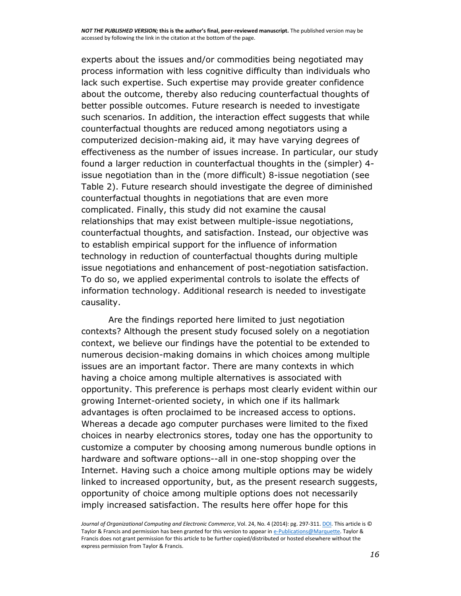experts about the issues and/or commodities being negotiated may process information with less cognitive difficulty than individuals who lack such expertise. Such expertise may provide greater confidence about the outcome, thereby also reducing counterfactual thoughts of better possible outcomes. Future research is needed to investigate such scenarios. In addition, the interaction effect suggests that while counterfactual thoughts are reduced among negotiators using a computerized decision-making aid, it may have varying degrees of effectiveness as the number of issues increase. In particular, our study found a larger reduction in counterfactual thoughts in the (simpler) 4 issue negotiation than in the (more difficult) 8-issue negotiation (see Table 2). Future research should investigate the degree of diminished counterfactual thoughts in negotiations that are even more complicated. Finally, this study did not examine the causal relationships that may exist between multiple-issue negotiations, counterfactual thoughts, and satisfaction. Instead, our objective was to establish empirical support for the influence of information technology in reduction of counterfactual thoughts during multiple issue negotiations and enhancement of post-negotiation satisfaction. To do so, we applied experimental controls to isolate the effects of information technology. Additional research is needed to investigate causality.

Are the findings reported here limited to just negotiation contexts? Although the present study focused solely on a negotiation context, we believe our findings have the potential to be extended to numerous decision-making domains in which choices among multiple issues are an important factor. There are many contexts in which having a choice among multiple alternatives is associated with opportunity. This preference is perhaps most clearly evident within our growing Internet-oriented society, in which one if its hallmark advantages is often proclaimed to be increased access to options. Whereas a decade ago computer purchases were limited to the fixed choices in nearby electronics stores, today one has the opportunity to customize a computer by choosing among numerous bundle options in hardware and software options--all in one-stop shopping over the Internet. Having such a choice among multiple options may be widely linked to increased opportunity, but, as the present research suggests, opportunity of choice among multiple options does not necessarily imply increased satisfaction. The results here offer hope for this

*Journal of Organizational Computing and Electronic Commerce*, Vol. 24, No. 4 (2014): pg. 297-311. *DOI*. This article is © Taylor & Francis and permission has been granted for this version to appear i[n e-Publications@Marquette.](http://epublications.marquette.edu/) Taylor & Francis does not grant permission for this article to be further copied/distributed or hosted elsewhere without the express permission from Taylor & Francis.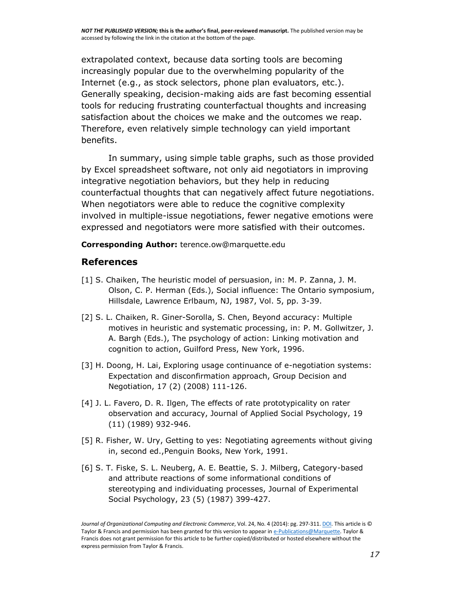extrapolated context, because data sorting tools are becoming increasingly popular due to the overwhelming popularity of the Internet (e.g., as stock selectors, phone plan evaluators, etc.). Generally speaking, decision-making aids are fast becoming essential tools for reducing frustrating counterfactual thoughts and increasing satisfaction about the choices we make and the outcomes we reap. Therefore, even relatively simple technology can yield important benefits.

In summary, using simple table graphs, such as those provided by Excel spreadsheet software, not only aid negotiators in improving integrative negotiation behaviors, but they help in reducing counterfactual thoughts that can negatively affect future negotiations. When negotiators were able to reduce the cognitive complexity involved in multiple-issue negotiations, fewer negative emotions were expressed and negotiators were more satisfied with their outcomes.

**Corresponding Author:** terence.ow@marquette.edu

#### **References**

- [1] S. Chaiken, The heuristic model of persuasion, in: M. P. Zanna, J. M. Olson, C. P. Herman (Eds.), Social influence: The Ontario symposium, Hillsdale, Lawrence Erlbaum, NJ, 1987, Vol. 5, pp. 3-39.
- [2] S. L. Chaiken, R. Giner-Sorolla, S. Chen, Beyond accuracy: Multiple motives in heuristic and systematic processing, in: P. M. Gollwitzer, J. A. Bargh (Eds.), The psychology of action: Linking motivation and cognition to action, Guilford Press, New York, 1996.
- [3] H. Doong, H. Lai, Exploring usage continuance of e-negotiation systems: Expectation and disconfirmation approach, Group Decision and Negotiation, 17 (2) (2008) 111-126.
- [4] J. L. Favero, D. R. Ilgen, The effects of rate prototypicality on rater observation and accuracy, Journal of Applied Social Psychology, 19 (11) (1989) 932-946.
- [5] R. Fisher, W. Ury, Getting to yes: Negotiating agreements without giving in, second ed.,Penguin Books, New York, 1991.
- [6] S. T. Fiske, S. L. Neuberg, A. E. Beattie, S. J. Milberg, Category-based and attribute reactions of some informational conditions of stereotyping and individuating processes, Journal of Experimental Social Psychology, 23 (5) (1987) 399-427.

Journal of Organizational Computing and Electronic Commerce, Vol. 24, No. 4 (2014): pg. 297-311. **DOI**. This article is © Taylor & Francis and permission has been granted for this version to appear i[n e-Publications@Marquette.](http://epublications.marquette.edu/) Taylor & Francis does not grant permission for this article to be further copied/distributed or hosted elsewhere without the express permission from Taylor & Francis.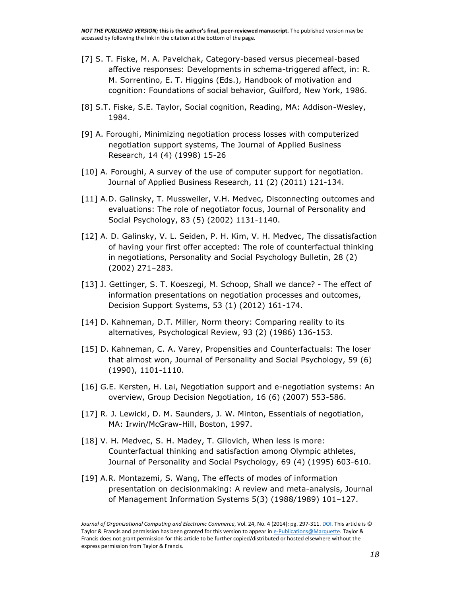- [7] S. T. Fiske, M. A. Pavelchak, Category-based versus piecemeal-based affective responses: Developments in schema-triggered affect, in: R. M. Sorrentino, E. T. Higgins (Eds.), Handbook of motivation and cognition: Foundations of social behavior, Guilford, New York, 1986.
- [8] S.T. Fiske, S.E. Taylor, Social cognition, Reading, MA: Addison-Wesley, 1984.
- [9] A. Foroughi, Minimizing negotiation process losses with computerized negotiation support systems, The Journal of Applied Business Research, 14 (4) (1998) 15-26
- [10] A. Foroughi, A survey of the use of computer support for negotiation. Journal of Applied Business Research, 11 (2) (2011) 121-134.
- [11] A.D. Galinsky, T. Mussweiler, V.H. Medvec, Disconnecting outcomes and evaluations: The role of negotiator focus, Journal of Personality and Social Psychology, 83 (5) (2002) 1131-1140.
- [12] A. D. Galinsky, V. L. Seiden, P. H. Kim, V. H. Medvec, The dissatisfaction of having your first offer accepted: The role of counterfactual thinking in negotiations, Personality and Social Psychology Bulletin, 28 (2) (2002) 271–283.
- [13] J. Gettinger, S. T. Koeszegi, M. Schoop, Shall we dance? The effect of information presentations on negotiation processes and outcomes, Decision Support Systems, 53 (1) (2012) 161-174.
- [14] D. Kahneman, D.T. Miller, Norm theory: Comparing reality to its alternatives, Psychological Review, 93 (2) (1986) 136-153.
- [15] D. Kahneman, C. A. Varey, Propensities and Counterfactuals: The loser that almost won, Journal of Personality and Social Psychology, 59 (6) (1990), 1101-1110.
- [16] G.E. Kersten, H. Lai, Negotiation support and e-negotiation systems: An overview, Group Decision Negotiation, 16 (6) (2007) 553-586.
- [17] R. J. Lewicki, D. M. Saunders, J. W. Minton, Essentials of negotiation, MA: Irwin/McGraw-Hill, Boston, 1997.
- [18] V. H. Medvec, S. H. Madey, T. Gilovich, When less is more: Counterfactual thinking and satisfaction among Olympic athletes, Journal of Personality and Social Psychology, 69 (4) (1995) 603-610.
- [19] A.R. Montazemi, S. Wang, The effects of modes of information presentation on decisionmaking: A review and meta-analysis, Journal of Management Information Systems 5(3) (1988/1989) 101–127.

*Journal of Organizational Computing and Electronic Commerce*, Vol. 24, No. 4 (2014): pg. 297-311. *DOI*. This article is © Taylor & Francis and permission has been granted for this version to appear i[n e-Publications@Marquette.](http://epublications.marquette.edu/) Taylor & Francis does not grant permission for this article to be further copied/distributed or hosted elsewhere without the express permission from Taylor & Francis.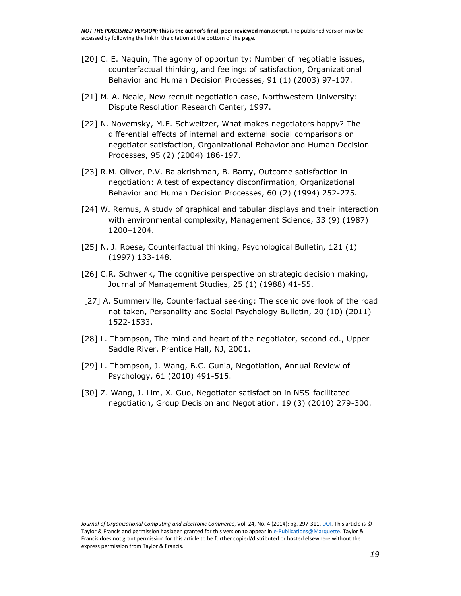- [20] C. E. Naquin, The agony of opportunity: Number of negotiable issues, counterfactual thinking, and feelings of satisfaction, Organizational Behavior and Human Decision Processes, 91 (1) (2003) 97-107.
- [21] M. A. Neale, New recruit negotiation case, Northwestern University: Dispute Resolution Research Center, 1997.
- [22] N. Novemsky, M.E. Schweitzer, What makes negotiators happy? The differential effects of internal and external social comparisons on negotiator satisfaction, Organizational Behavior and Human Decision Processes, 95 (2) (2004) 186-197.
- [23] R.M. Oliver, P.V. Balakrishman, B. Barry, Outcome satisfaction in negotiation: A test of expectancy disconfirmation, Organizational Behavior and Human Decision Processes, 60 (2) (1994) 252-275.
- [24] W. Remus, A study of graphical and tabular displays and their interaction with environmental complexity, Management Science, 33 (9) (1987) 1200–1204.
- [25] N. J. Roese, Counterfactual thinking, Psychological Bulletin, 121 (1) (1997) 133-148.
- [26] C.R. Schwenk, The cognitive perspective on strategic decision making, Journal of Management Studies, 25 (1) (1988) 41-55.
- [27] A. Summerville, Counterfactual seeking: The scenic overlook of the road not taken, Personality and Social Psychology Bulletin, 20 (10) (2011) 1522-1533.
- [28] L. Thompson, The mind and heart of the negotiator, second ed., Upper Saddle River, Prentice Hall, NJ, 2001.
- [29] L. Thompson, J. Wang, B.C. Gunia, Negotiation, Annual Review of Psychology, 61 (2010) 491-515.
- [30] Z. Wang, J. Lim, X. Guo, Negotiator satisfaction in NSS-facilitated negotiation, Group Decision and Negotiation, 19 (3) (2010) 279-300.

*Journal of Organizational Computing and Electronic Commerce*, Vol. 24, No. 4 (2014): pg. 297-311[. DOI.](http://dx.doi.org/10.1080/10919392.2014.956597) This article is © Taylor & Francis and permission has been granted for this version to appear i[n e-Publications@Marquette.](http://epublications.marquette.edu/) Taylor & Francis does not grant permission for this article to be further copied/distributed or hosted elsewhere without the express permission from Taylor & Francis.